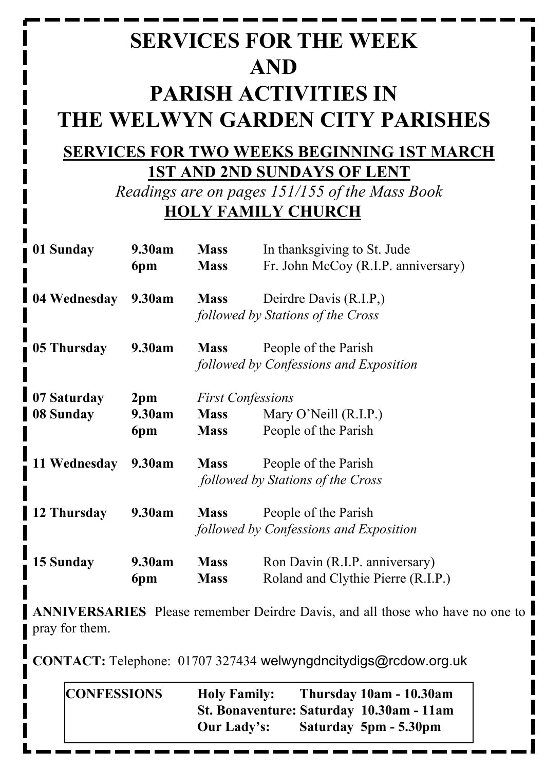# **SERVICES FOR THE WEEK AND PARISH ACTIVITIES IN THE WELWYN GARDEN CITY PARISHES**

### **SERVICES FOR TWO WEEKS BEGINNING 1ST MARCH 1ST AND 2ND SUNDAYS OF LENT**

*Readings are on pages 151/155 of the Mass Book* **HOLY FAMILY CHURCH**

| 01 Sunday    | 9.30am          | <b>Mass</b><br>In thanksgiving to St. Jude |                                     |  |
|--------------|-----------------|--------------------------------------------|-------------------------------------|--|
|              | 6pm             | <b>Mass</b>                                | Fr. John McCoy (R.I.P. anniversary) |  |
| 04 Wednesday | 9.30am          | <b>Mass</b>                                | Deirdre Davis (R.I.P.)              |  |
|              |                 | followed by Stations of the Cross          |                                     |  |
| 05 Thursday  | 9.30am          | <b>Mass</b>                                | People of the Parish                |  |
|              |                 | followed by Confessions and Exposition     |                                     |  |
| 07 Saturday  | 2 <sub>pm</sub> | <b>First Confessions</b>                   |                                     |  |
| 08 Sunday    | 9.30am          | <b>Mass</b>                                | Mary O'Neill (R.I.P.)               |  |
|              | 6pm             | <b>Mass</b>                                | People of the Parish                |  |
| 11 Wednesday | 9.30am          | <b>Mass</b>                                | People of the Parish                |  |
|              |                 | followed by Stations of the Cross          |                                     |  |
| 12 Thursday  | 9.30am          | <b>Mass</b>                                | People of the Parish                |  |
|              |                 | followed by Confessions and Exposition     |                                     |  |
| 15 Sunday    | 9.30am          | <b>Mass</b>                                | Ron Davin (R.I.P. anniversary)      |  |
|              | 6pm             | <b>Mass</b>                                | Roland and Clythie Pierre (R.I.P.)  |  |

**ANNIVERSARIES** Please remember Deirdre Davis, and all those who have no one to pray for them.

**CONTACT:** Telephone: 01707 327434 welwyngdncitydigs@rcdow.org.uk

| <b>CONFESSIONS</b> | <b>Holy Family:</b>                      | Thursday 10am - 10.30am |
|--------------------|------------------------------------------|-------------------------|
|                    | St. Bonaventure: Saturday 10.30am - 11am |                         |
|                    | Our Lady's:                              | Saturday 5pm - 5.30pm   |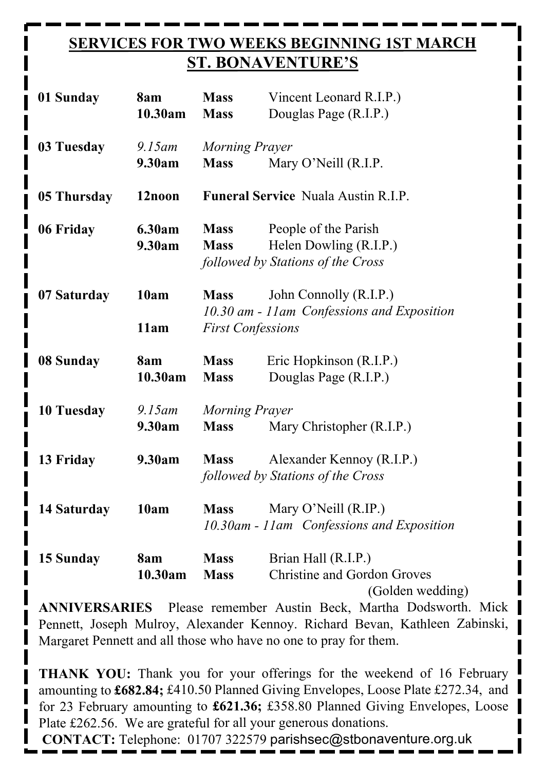#### **SERVICES FOR TWO WEEKS BEGINNING 1ST MARCH ST. BONAVENTURE'S**

| 01 Sunday   | 8am<br>10.30am      | <b>Mass</b><br><b>Mass</b>                            | Vincent Leonard R.I.P.)<br>Douglas Page (R.I.P.)                                    |  |
|-------------|---------------------|-------------------------------------------------------|-------------------------------------------------------------------------------------|--|
| 03 Tuesday  | $9.15$ am<br>9.30am | Morning Prayer<br>Mary O'Neill (R.I.P.<br><b>Mass</b> |                                                                                     |  |
| 05 Thursday | 12noon              | <b>Funeral Service Nuala Austin R.I.P.</b>            |                                                                                     |  |
| 06 Friday   | 6.30am<br>9.30am    | <b>Mass</b><br><b>Mass</b>                            | People of the Parish<br>Helen Dowling (R.I.P.)<br>followed by Stations of the Cross |  |
| 07 Saturday | 10am<br>11am        | <b>Mass</b><br><b>First Confessions</b>               | John Connolly (R.I.P.)<br>10.30 am - 11am Confessions and Exposition                |  |
| 08 Sunday   | 8am<br>10.30am      | <b>Mass</b><br><b>Mass</b>                            | Eric Hopkinson (R.I.P.)<br>Douglas Page (R.I.P.)                                    |  |
| 10 Tuesday  | $9.15$ am<br>9.30am | Morning Prayer<br><b>Mass</b>                         | Mary Christopher (R.I.P.)                                                           |  |
| 13 Friday   | 9.30am              | <b>Mass</b>                                           | Alexander Kennoy (R.I.P.)<br>followed by Stations of the Cross                      |  |
| 14 Saturday | 10am                | <b>Mass</b>                                           | Mary O'Neill (R.IP.)<br>10.30am - 11am Confessions and Exposition                   |  |
| 15 Sunday   | 8am<br>10.30am      | <b>Mass</b><br><b>Mass</b>                            | Brian Hall (R.I.P.)<br><b>Christine and Gordon Groves</b><br>(Golden wedding)       |  |

**ANNIVERSARIES** Please remember Austin Beck, Martha Dodsworth. Mick Pennett, Joseph Mulroy, Alexander Kennoy. Richard Bevan, Kathleen Zabinski, Margaret Pennett and all those who have no one to pray for them.

**THANK YOU:** Thank you for your offerings for the weekend of 16 February amounting to **£682.84;** £410.50 Planned Giving Envelopes, Loose Plate £272.34, and for 23 February amounting to **£621.36;** £358.80 Planned Giving Envelopes, Loose Plate £262.56. We are grateful for all your generous donations.

**CONTACT:** Telephone: 01707 322579 parishsec@stbonaventure.org.uk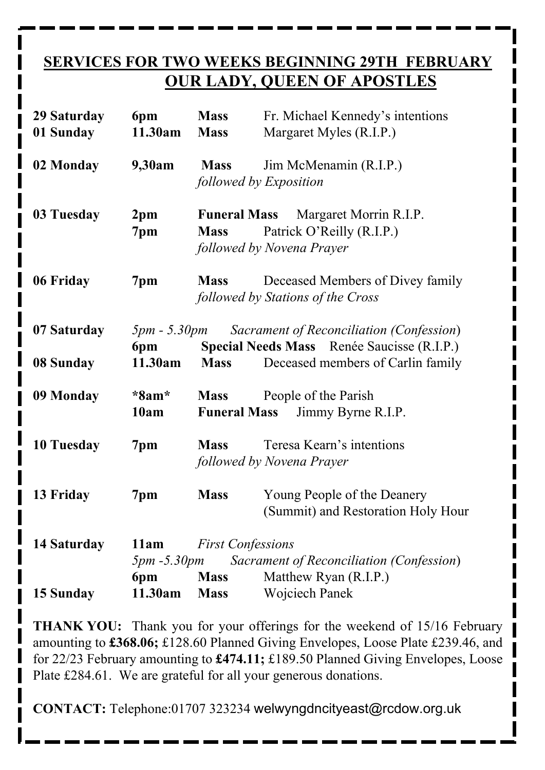#### **SERVICES FOR TWO WEEKS BEGINNING 29TH FEBRUARY OUR LADY, QUEEN OF APOSTLES**

| 29 Saturday<br>01 Sunday | 6pm<br>11.30am                                             | <b>Mass</b><br><b>Mass</b>         | Fr. Michael Kennedy's intentions<br>Margaret Myles (R.I.P.)                            |  |
|--------------------------|------------------------------------------------------------|------------------------------------|----------------------------------------------------------------------------------------|--|
| 02 Monday                | 9,30am                                                     | <b>Mass</b>                        | Jim McMenamin (R.I.P.)<br>followed by Exposition                                       |  |
| 03 Tuesday               | 2 <sub>pm</sub><br>7pm                                     | <b>Funeral Mass</b><br><b>Mass</b> | Margaret Morrin R.I.P.<br>Patrick O'Reilly (R.I.P.)<br>followed by Novena Prayer       |  |
| 06 Friday                | 7pm                                                        | <b>Mass</b>                        | Deceased Members of Divey family<br>followed by Stations of the Cross                  |  |
| 07 Saturday              | <i>5pm - 5.30pm</i><br>6pm                                 |                                    | Sacrament of Reconciliation (Confession)<br>Special Needs Mass Renée Saucisse (R.I.P.) |  |
| 08 Sunday                | 11.30am                                                    | <b>Mass</b>                        | Deceased members of Carlin family                                                      |  |
| 09 Monday                | $*8am*$<br>10am                                            | <b>Mass</b><br><b>Funeral Mass</b> | People of the Parish<br>Jimmy Byrne R.I.P.                                             |  |
| 10 Tuesday               | 7pm                                                        | <b>Mass</b>                        | Teresa Kearn's intentions<br>followed by Novena Prayer                                 |  |
| 13 Friday                | 7 <sub>pm</sub>                                            | <b>Mass</b>                        | Young People of the Deanery<br>(Summit) and Restoration Holy Hour                      |  |
| 14 Saturday              | 11am                                                       | <b>First Confessions</b>           |                                                                                        |  |
|                          | $5pm - 5.30pm$<br>Sacrament of Reconciliation (Confession) |                                    |                                                                                        |  |
| 15 Sunday                | 6pm<br>11.30am                                             | <b>Mass</b><br><b>Mass</b>         | Matthew Ryan (R.I.P.)<br><b>Wojciech Panek</b>                                         |  |

**THANK YOU:** Thank you for your offerings for the weekend of 15/16 February amounting to **£368.06;** £128.60 Planned Giving Envelopes, Loose Plate £239.46, and for 22/23 February amounting to **£474.11;** £189.50 Planned Giving Envelopes, Loose Plate £284.61. We are grateful for all your generous donations.

**CONTACT:** Telephone:01707 323234 welwyngdncityeast@rcdow.org.uk